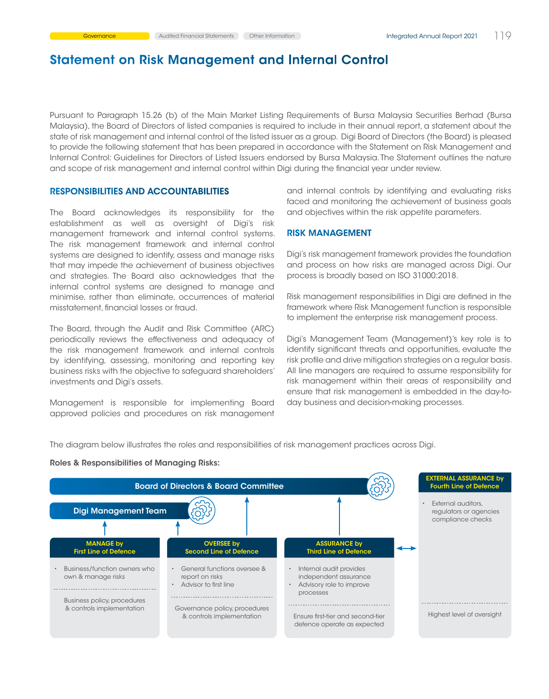Pursuant to Paragraph 15.26 (b) of the Main Market Listing Requirements of Bursa Malaysia Securities Berhad (Bursa Malaysia), the Board of Directors of listed companies is required to include in their annual report, a statement about the state of risk management and internal control of the listed issuer as a group. Digi Board of Directors (the Board) is pleased to provide the following statement that has been prepared in accordance with the Statement on Risk Management and Internal Control: Guidelines for Directors of Listed Issuers endorsed by Bursa Malaysia. The Statement outlines the nature and scope of risk management and internal control within Digi during the financial year under review.

#### RESPONSIBILITIES AND ACCOUNTABILITIES

The Board acknowledges its responsibility for the establishment as well as oversight of Digi's risk management framework and internal control systems. The risk management framework and internal control systems are designed to identify, assess and manage risks that may impede the achievement of business objectives and strategies. The Board also acknowledges that the internal control systems are designed to manage and minimise, rather than eliminate, occurrences of material misstatement, financial losses or fraud.

The Board, through the Audit and Risk Committee (ARC) periodically reviews the effectiveness and adequacy of the risk management framework and internal controls by identifying, assessing, monitoring and reporting key business risks with the objective to safeguard shareholders' investments and Digi's assets.

Management is responsible for implementing Board approved policies and procedures on risk management and internal controls by identifying and evaluating risks faced and monitoring the achievement of business goals and objectives within the risk appetite parameters.

### RISK MANAGEMENT

Digi's risk management framework provides the foundation and process on how risks are managed across Digi. Our process is broadly based on ISO 31000:2018.

Risk management responsibilities in Digi are defined in the framework where Risk Management function is responsible to implement the enterprise risk management process.

Digi's Management Team (Management)'s key role is to identify significant threats and opportunities, evaluate the risk profile and drive mitigation strategies on a regular basis. All line managers are required to assume responsibility for risk management within their areas of responsibility and ensure that risk management is embedded in the day-today business and decision-making processes.

The diagram below illustrates the roles and responsibilities of risk management practices across Digi.



#### Roles & Responsibilities of Managing Risks: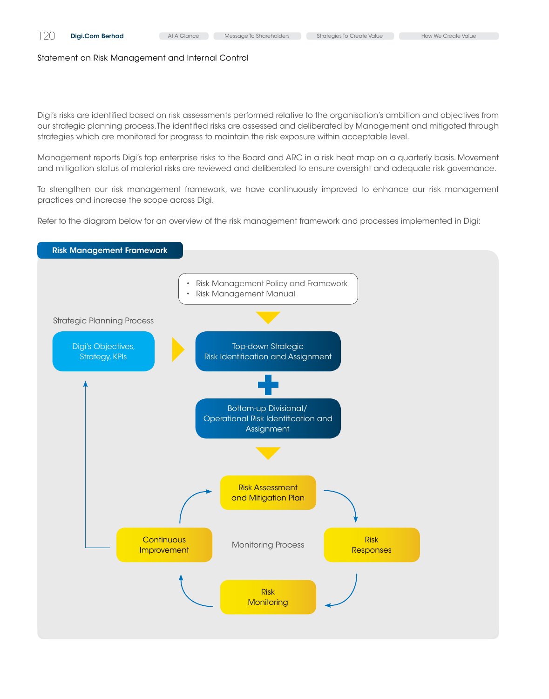Digi's risks are identified based on risk assessments performed relative to the organisation's ambition and objectives from our strategic planning process. The identified risks are assessed and deliberated by Management and mitigated through strategies which are monitored for progress to maintain the risk exposure within acceptable level.

Management reports Digi's top enterprise risks to the Board and ARC in a risk heat map on a quarterly basis. Movement and mitigation status of material risks are reviewed and deliberated to ensure oversight and adequate risk governance.

To strengthen our risk management framework, we have continuously improved to enhance our risk management practices and increase the scope across Digi.

Refer to the diagram below for an overview of the risk management framework and processes implemented in Digi:

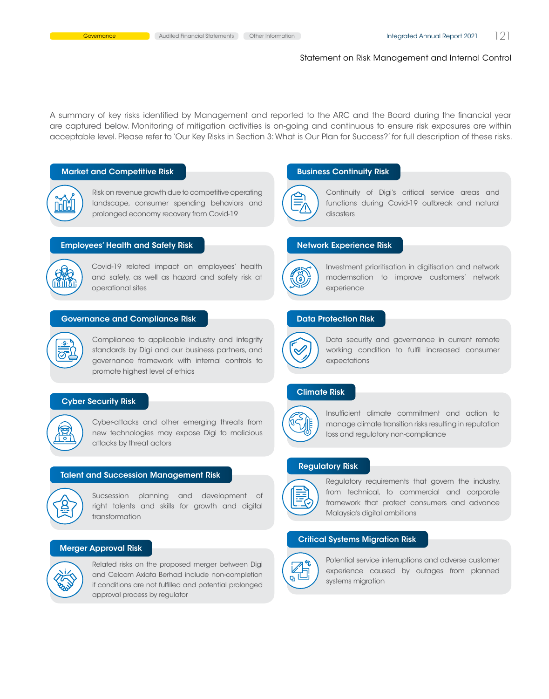A summary of key risks identified by Management and reported to the ARC and the Board during the financial year are captured below. Monitoring of mitigation activities is on-going and continuous to ensure risk exposures are within acceptable level. Please refer to 'Our Key Risks in Section 3: What is Our Plan for Success?' for full description of these risks.

#### Market and Competitive Risk



Risk on revenue growth due to competitive operating landscape, consumer spending behaviors and prolonged economy recovery from Covid-19

#### Employees' Health and Safety Risk



<u>-s-</u> 壼 Covid-19 related impact on employees' health and safety, as well as hazard and safety risk at operational sites

#### Governance and Compliance Risk

Compliance to applicable industry and integrity standards by Digi and our business partners, and governance framework with internal controls to promote highest level of ethics

### Cyber Security Risk



Cyber-attacks and other emerging threats from new technologies may expose Digi to malicious attacks by threat actors

#### Talent and Succession Management Risk



Sucsession planning and development of right talents and skills for growth and digital transformation

#### Merger Approval Risk



Related risks on the proposed merger between Digi and Celcom Axiata Berhad include non-completion if conditions are not fulfilled and potential prolonged approval process by regulator

#### Business Continuity Risk



Continuity of Digi's critical service areas and functions during Covid-19 outbreak and natural disasters

## Network Experience Risk



Investment prioritisation in digitisation and network modernsation to improve customers' network experience

#### Data Protection Risk



Data security and governance in current remote working condition to fulfil increased consumer expectations

## Climate Risk



Insufficient climate commitment and action to manage climate transition risks resulting in reputation loss and regulatory non-compliance

## Regulatory Risk



Regulatory requirements that govern the industry, from technical, to commercial and corporate framework that protect consumers and advance Malaysia's digital ambitions

## Critical Systems Migration Risk



Potential service interruptions and adverse customer experience caused by outages from planned systems migration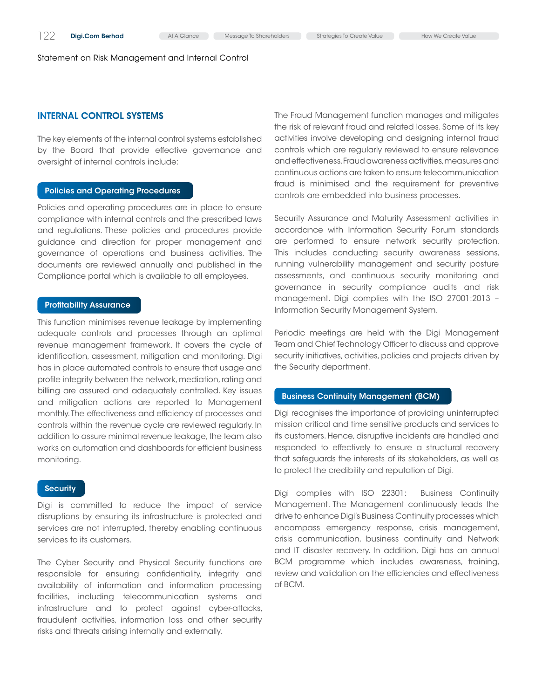## INTERNAL CONTROL SYSTEMS

The key elements of the internal control systems established by the Board that provide effective governance and oversight of internal controls include:

#### Policies and Operating Procedures

Policies and operating procedures are in place to ensure compliance with internal controls and the prescribed laws and regulations. These policies and procedures provide guidance and direction for proper management and governance of operations and business activities. The documents are reviewed annually and published in the Compliance portal which is available to all employees.

#### Profitability Assurance

This function minimises revenue leakage by implementing adequate controls and processes through an optimal revenue management framework. It covers the cycle of identification, assessment, mitigation and monitoring. Digi has in place automated controls to ensure that usage and profile integrity between the network, mediation, rating and billing are assured and adequately controlled. Key issues and mitigation actions are reported to Management monthly. The effectiveness and efficiency of processes and controls within the revenue cycle are reviewed regularly. In addition to assure minimal revenue leakage, the team also works on automation and dashboards for efficient business monitoring.

## **Security**

Digi is committed to reduce the impact of service disruptions by ensuring its infrastructure is protected and services are not interrupted, thereby enabling continuous services to its customers.

The Cyber Security and Physical Security functions are responsible for ensuring confidentiality, integrity and availability of information and information processing facilities, including telecommunication systems and infrastructure and to protect against cyber-attacks, fraudulent activities, information loss and other security risks and threats arising internally and externally.

The Fraud Management function manages and mitigates the risk of relevant fraud and related losses. Some of its key activities involve developing and designing internal fraud controls which are regularly reviewed to ensure relevance and effectiveness. Fraud awareness activities, measures and continuous actions are taken to ensure telecommunication fraud is minimised and the requirement for preventive controls are embedded into business processes.

Security Assurance and Maturity Assessment activities in accordance with Information Security Forum standards are performed to ensure network security protection. This includes conducting security awareness sessions, running vulnerability management and security posture assessments, and continuous security monitoring and governance in security compliance audits and risk management. Digi complies with the ISO 27001:2013 – Information Security Management System.

Periodic meetings are held with the Digi Management Team and Chief Technology Officer to discuss and approve security initiatives, activities, policies and projects driven by the Security department.

## Business Continuity Management (BCM)

Digi recognises the importance of providing uninterrupted mission critical and time sensitive products and services to its customers. Hence, disruptive incidents are handled and responded to effectively to ensure a structural recovery that safeguards the interests of its stakeholders, as well as to protect the credibility and reputation of Digi.

Digi complies with ISO 22301: Business Continuity Management. The Management continuously leads the drive to enhance Digi's Business Continuity processes which encompass emergency response, crisis management, crisis communication, business continuity and Network and IT disaster recovery. In addition, Digi has an annual BCM programme which includes awareness, training, review and validation on the efficiencies and effectiveness of BCM.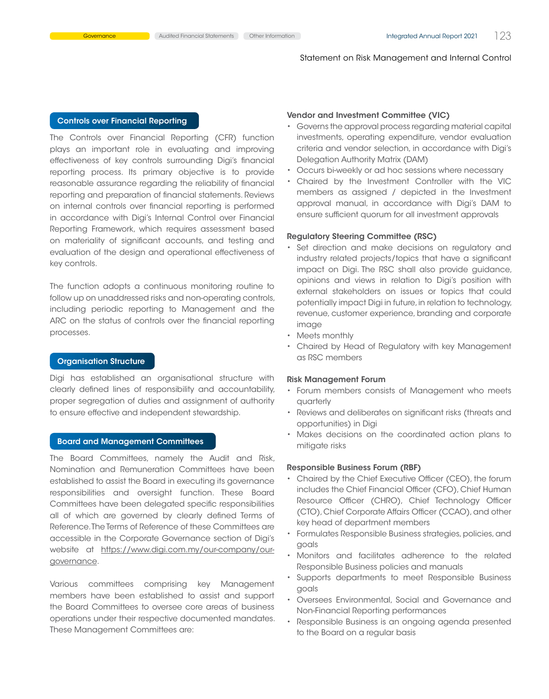## Controls over Financial Reporting

The Controls over Financial Reporting (CFR) function plays an important role in evaluating and improving effectiveness of key controls surrounding Digi's financial reporting process. Its primary objective is to provide reasonable assurance regarding the reliability of financial reporting and preparation of financial statements. Reviews on internal controls over financial reporting is performed in accordance with Digi's Internal Control over Financial Reporting Framework, which requires assessment based on materiality of significant accounts, and testing and evaluation of the design and operational effectiveness of key controls.

The function adopts a continuous monitoring routine to follow up on unaddressed risks and non-operating controls, including periodic reporting to Management and the ARC on the status of controls over the financial reporting processes.

## Organisation Structure

Digi has established an organisational structure with clearly defined lines of responsibility and accountability, proper segregation of duties and assignment of authority to ensure effective and independent stewardship.

### Board and Management Committees

The Board Committees, namely the Audit and Risk, Nomination and Remuneration Committees have been established to assist the Board in executing its governance responsibilities and oversight function. These Board Committees have been delegated specific responsibilities all of which are governed by clearly defined Terms of Reference. The Terms of Reference of these Committees are accessible in the Corporate Governance section of Digi's website at [https://www.digi.com.my/our-company/our](https://www.digi.com.my/our-company/our-governance)[governance](https://www.digi.com.my/our-company/our-governance).

Various committees comprising key Management members have been established to assist and support the Board Committees to oversee core areas of business operations under their respective documented mandates. These Management Committees are:

#### Vendor and Investment Committee (VIC)

- • Governs the approval process regarding material capital investments, operating expenditure, vendor evaluation criteria and vendor selection, in accordance with Digi's Delegation Authority Matrix (DAM)
- • Occurs bi-weekly or ad hoc sessions where necessary
- Chaired by the Investment Controller with the VIC members as assigned / depicted in the Investment approval manual, in accordance with Digi's DAM to ensure sufficient quorum for all investment approvals

#### Regulatory Steering Committee (RSC)

- • Set direction and make decisions on regulatory and industry related projects/topics that have a significant impact on Digi. The RSC shall also provide guidance, opinions and views in relation to Digi's position with external stakeholders on issues or topics that could potentially impact Digi in future, in relation to technology, revenue, customer experience, branding and corporate image
- Meets monthly
- Chaired by Head of Regulatory with key Management as RSC members

#### Risk Management Forum

- Forum members consists of Management who meets quarterly
- Reviews and deliberates on significant risks (threats and opportunities) in Digi
- Makes decisions on the coordinated action plans to mitigate risks

#### Responsible Business Forum (RBF)

- Chaired by the Chief Executive Officer (CEO), the forum includes the Chief Financial Officer (CFO), Chief Human Resource Officer (CHRO), Chief Technology Officer (CTO), Chief Corporate Affairs Officer (CCAO), and other key head of department members
- Formulates Responsible Business strategies, policies, and goals
- • Monitors and facilitates adherence to the related Responsible Business policies and manuals
- • Supports departments to meet Responsible Business goals
- • Oversees Environmental, Social and Governance and Non-Financial Reporting performances
- Responsible Business is an ongoing agenda presented to the Board on a regular basis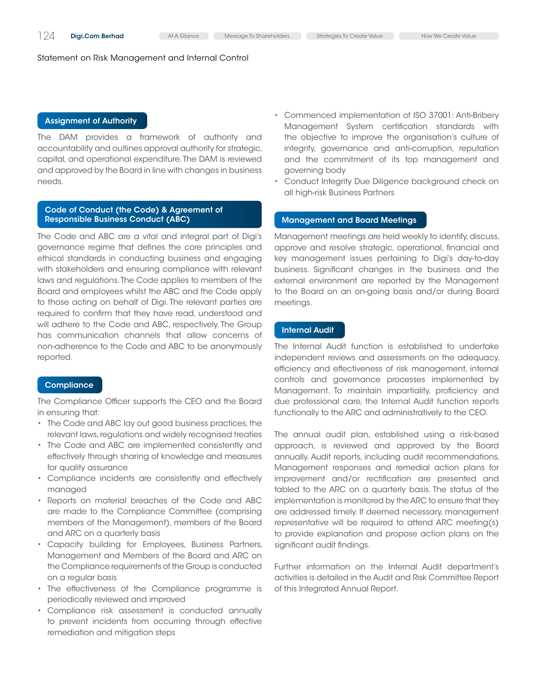### Assignment of Authority

The DAM provides a framework of authority and accountability and outlines approval authority for strategic, capital, and operational expenditure. The DAM is reviewed and approved by the Board in line with changes in business needs.

## Code of Conduct (the Code) & Agreement of Responsible Business Conduct (ABC)

The Code and ABC are a vital and integral part of Digi's governance regime that defines the core principles and ethical standards in conducting business and engaging with stakeholders and ensuring compliance with relevant laws and regulations. The Code applies to members of the Board and employees whilst the ABC and the Code apply to those acting on behalf of Digi. The relevant parties are required to confirm that they have read, understood and will adhere to the Code and ABC, respectively. The Group has communication channels that allow concerns of non-adherence to the Code and ABC to be anonymously reported.

## **Compliance**

The Compliance Officer supports the CEO and the Board in ensuring that:

- The Code and ABC lay out good business practices, the relevant laws, regulations and widely recognised treaties
- The Code and ABC are implemented consistently and effectively through sharing of knowledge and measures for quality assurance
- • Compliance incidents are consistently and effectively managed
- Reports on material breaches of the Code and ABC are made to the Compliance Committee (comprising members of the Management), members of the Board and ARC on a quarterly basis
- • Capacity building for Employees, Business Partners, Management and Members of the Board and ARC on the Compliance requirements of the Group is conducted on a regular basis
- The effectiveness of the Compliance programme is periodically reviewed and improved
- • Compliance risk assessment is conducted annually to prevent incidents from occurring through effective remediation and mitigation steps

• Commenced implementation of ISO 37001: Anti-Bribery Management System certification standards with the objective to improve the organisation's culture of integrity, governance and anti-corruption, reputation and the commitment of its top management and governing body

Conduct Integrity Due Diligence background check on all high-risk Business Partners

## Management and Board Meetings

Management meetings are held weekly to identify, discuss, approve and resolve strategic, operational, financial and key management issues pertaining to Digi's day-to-day business. Significant changes in the business and the external environment are reported by the Management to the Board on an on-going basis and/or during Board meetings.

#### Internal Audit

The Internal Audit function is established to undertake independent reviews and assessments on the adequacy, efficiency and effectiveness of risk management, internal controls and governance processes implemented by Management. To maintain impartiality, proficiency and due professional care, the Internal Audit function reports functionally to the ARC and administratively to the CEO.

The annual audit plan, established using a risk-based approach, is reviewed and approved by the Board annually. Audit reports, including audit recommendations, Management responses and remedial action plans for improvement and/or rectification are presented and tabled to the ARC on a quarterly basis. The status of the implementation is monitored by the ARC to ensure that they are addressed timely. If deemed necessary, management representative will be required to attend ARC meeting(s) to provide explanation and propose action plans on the significant audit findings.

Further information on the Internal Audit department's activities is detailed in the Audit and Risk Committee Report of this Integrated Annual Report.